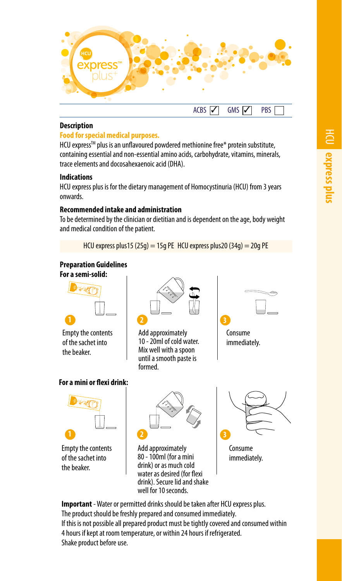

### **Description**

# **Food for special medical purposes.**

HCU express™ plus is an unflavoured powdered methionine free\* protein substitute, containing essential and non-essential amino acids, carbohydrate, vitamins, minerals, trace elements and docosahexaenoic acid (DHA).

# **Indications**

HCU express plus is for the dietary management of Homocystinuria (HCU) from 3 years onwards.

# **Recommended intake and administration**

To be determined by the clinician or dietitian and is dependent on the age, body weight and medical condition of the patient.

HCU express plus15 (25g) = 15g PE HCU express plus20 (34g) = 20g PE

# **Preparation Guidelines**

**For a semi-solid:**



Empty the contents of the sachet into the beaker.

### **For a mini or flexi drink:**



Empty the contents of the sachet into the beaker.



Add approximately 10 - 20ml of cold water. Mix well with a spoon until a smooth paste is formed.





Add approximately 80 - 100ml (for a mini drink) or as much cold water as desired (for flexi drink). Secure lid and shake well for 10 seconds.



immediately.

**Important** - Water or permitted drinks should be taken after HCU express plus. The product should be freshly prepared and consumed immediately. If this is not possible all prepared product must be tightly covered and consumed within 4 hours if kept at room temperature, or within 24 hours if refrigerated. Shake product before use.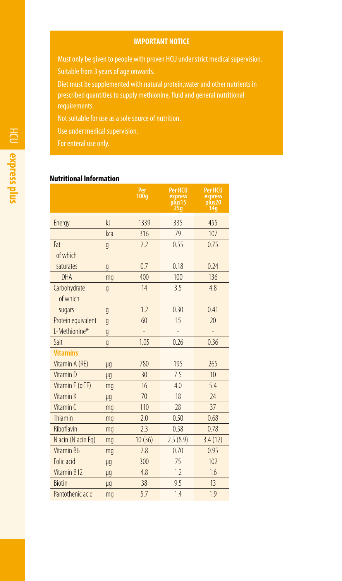### **IMPORTANT NOTICE**

Must only be given to people with proven HCU under strict medical supervision. Suitable from 3 years of age onwards.

Diet must be supplemented with natural protein,water and other nutrients in prescribed quantities to supply methionine, fluid and general nutritional

Not suitable for use as a sole source of nutrition.

Use under medical supervision.

For enteral use only.

# **Nutritional Information**

|                      |                | Per<br>100q | <b>Per HCU</b><br>express<br>plus <sub>15</sub><br>25q | <b>Per HCU</b><br>express<br>plus <sub>20</sub><br>34g |
|----------------------|----------------|-------------|--------------------------------------------------------|--------------------------------------------------------|
| Energy               | k              | 1339        | 335                                                    | 455                                                    |
|                      | kral           | 316         | 79                                                     | 107                                                    |
| Fat                  | $\mathfrak{g}$ | 2.2         | 0.55                                                   | 0.75                                                   |
| of which             |                |             |                                                        |                                                        |
| saturates            | $\mathfrak{g}$ | 0.7         | 0.18                                                   | 0.24                                                   |
| DHA                  | mq             | 400         | 100                                                    | 136                                                    |
| Carbohydrate         | $\mathfrak{g}$ | 14          | 3.5                                                    | 4.8                                                    |
| of which             |                |             |                                                        |                                                        |
| sugars               | g              | 1.2         | 0.30                                                   | 0.41                                                   |
| Protein equivalent   | g              | 60          | 15                                                     | 20                                                     |
| L-Methionine*        | g              |             |                                                        |                                                        |
| Salt                 | $\mathfrak{g}$ | 1.05        | 0.26                                                   | 0.36                                                   |
| <b>Vitamins</b>      |                |             |                                                        |                                                        |
| Vitamin A (RE)       | μg             | 780         | 195                                                    | 265                                                    |
| Vitamin <sub>D</sub> | μq             | 30          | 7.5                                                    | 10 <sup>10</sup>                                       |
| Vitamin E (aTE)      | mg             | 16          | 4.0                                                    | 5.4                                                    |
| Vitamin K            | μg             | 70          | 18                                                     | 24                                                     |
| Vitamin C            | mg             | 110         | 28                                                     | 37                                                     |
| Thiamin              | mg             | 2.0         | 0.50                                                   | 0.68                                                   |
| Riboflavin           | mg             | 23          | 0.58                                                   | 0.78                                                   |
| Niacin (Niacin Eq)   | mq             | 10(36)      | 2.5(8.9)                                               | 3.4(12)                                                |
| Vitamin B6           | mq             | 2.8         | 0.70                                                   | 0.95                                                   |
| Folic acid           | μg             | 300         | 75                                                     | 102                                                    |
| Vitamin B12          | μg             | 4.8         | 1.7                                                    | 1.6                                                    |
| <b>Biotin</b>        | μg             | 38          | 9.5                                                    | 13                                                     |
| Pantothenic acid     | mg             | 5.7         | 1.4                                                    | 1.9                                                    |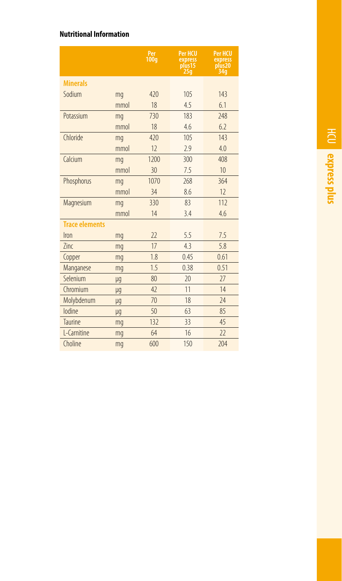# **Nutritional Information**

|                       |      | Per<br>100g | <b>Per HCU</b><br>express<br>plus <sub>15</sub><br>25q | <b>Per HCU</b><br>express<br>plus <sub>20</sub><br>34g |
|-----------------------|------|-------------|--------------------------------------------------------|--------------------------------------------------------|
| <b>Minerals</b>       |      |             |                                                        |                                                        |
| Sodium                | mg   | 420         | 105                                                    | 143                                                    |
|                       | mmol | 18          | 4.5                                                    | 6.1                                                    |
| Potassium             | mq   | 730         | 183                                                    | 248                                                    |
|                       | mmol | 18          | 4.6                                                    | 6.2                                                    |
| Chloride              | mq   | 420         | 105                                                    | 143                                                    |
|                       | mmol | 12          | 2.9                                                    | 4.0                                                    |
| Calcium               | mq   | 1200        | 300                                                    | 408                                                    |
|                       | mmol | 30          | 7.5                                                    | 10                                                     |
| Phosphorus            | mq   | 1070        | 268                                                    | 364                                                    |
|                       | mmol | 34          | 8.6                                                    | 12                                                     |
| Magnesium             | mq   | 330         | 83                                                     | 112                                                    |
|                       | mmol | 14          | 3.4                                                    | 4.6                                                    |
| <b>Trace elements</b> |      |             |                                                        |                                                        |
| Iron                  | mq   | 22          | 5.5                                                    | 7.5                                                    |
| 7inc                  | mq   | 17          | 43                                                     | 5.8                                                    |
| Copper                | mq   | 1.8         | 0.45                                                   | 0.61                                                   |
| Manganese             | mq   | 1.5         | 0.38                                                   | 0.51                                                   |
| Selenium              | μg   | 80          | 20                                                     | 77                                                     |
| Chromium              | μg   | 47          | 11                                                     | 14                                                     |
| Molybdenum            | μq   | 70          | 18                                                     | 74                                                     |
| lodine                | μg   | 50          | 63                                                     | 85                                                     |
| Taurine               | mq   | 132         | 33                                                     | 45                                                     |
| L-Carnitine           | mq   | 64          | 16                                                     | 22                                                     |
| Choline               | mq   | 600         | 150                                                    | 204                                                    |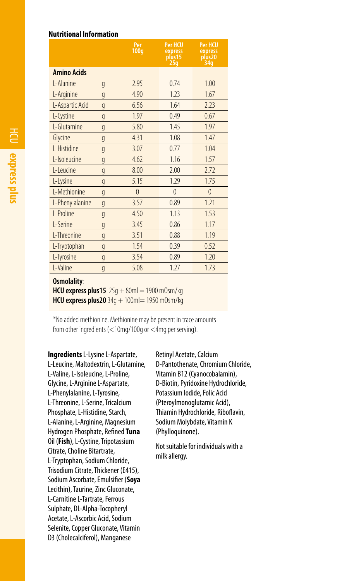### **Nutritional Information**

|                    |                | Per<br>100g | <b>Per HCU</b><br>express<br>plus 15<br>25 <sub>g</sub> | <b>Per HCU</b><br>express<br>plus20<br>34g |
|--------------------|----------------|-------------|---------------------------------------------------------|--------------------------------------------|
| <b>Amino Acids</b> |                |             |                                                         |                                            |
| L-Alanine          | g              | 2.95        | 0.74                                                    | 1.00                                       |
| L-Arginine         | g              | 4.90        | 1.23                                                    | 1.67                                       |
| L-Aspartic Acid    | g              | 6.56        | 1.64                                                    | 2.23                                       |
| L-Cystine          | g              | 1.97        | 0.49                                                    | 0.67                                       |
| L-Glutamine        | g              | 5.80        | 1.45                                                    | 1.97                                       |
| Glycine            | g              | 4.31        | 1.08                                                    | 1.47                                       |
| L-Histidine        | g              | 3.07        | 0.77                                                    | 1.04                                       |
| L-Isoleucine       | g              | 4.62        | 1.16                                                    | 1.57                                       |
| L-Leucine          | g              | 8.00        | 2.00                                                    | 2.72                                       |
| L-Lysine           | g              | 5.15        | 1.29                                                    | 1.75                                       |
| L-Methionine       | g              | $\Omega$    | $\Omega$                                                | $\overline{0}$                             |
| L-Phenylalanine    | $\mathfrak{g}$ | 3.57        | 0.89                                                    | 1.21                                       |
| L-Proline          | g              | 4.50        | 1.13                                                    | 1.53                                       |
| L-Serine           | g              | 3.45        | 0.86                                                    | 1.17                                       |
| L-Threonine        | g              | 3.51        | 0.88                                                    | 1.19                                       |
| L-Tryptophan       | g              | 1.54        | 0.39                                                    | 0.52                                       |
| L-Tyrosine         | g              | 3.54        | 0.89                                                    | 1.20                                       |
| L-Valine           | g              | 5.08        | 1.27                                                    | 1.73                                       |

#### **Osmolality**:

**HCU express plus15** 25g + 80ml = 1900 mOsm/kg **HCU express plus20** 34g + 100ml= 1950 m0sm/kg

\*No added methionine. Methionine may be present in trace amounts from other ingredients (<10mg/100g or <4mg per serving).

**Ingredients** L-Lysine L-Aspartate, L-Leucine, Maltodextrin, L-Glutamine, L-Valine, L-Isoleucine, L-Proline, Glycine, L-Arginine L-Aspartate, L-Phenylalanine, L-Tyrosine, L-Threonine, L-Serine, Tricalcium Phosphate, L-Histidine, Starch, L-Alanine, L-Arginine, Magnesium Hydrogen Phosphate, Refined **Tuna** Oil (**Fish**), L-Cystine, Tripotassium Citrate, Choline Bitartrate, L-Tryptophan, Sodium Chloride, Trisodium Citrate, Thickener (E415), Sodium Ascorbate, Emulsifier (**Soya** Lecithin), Taurine, Zinc Gluconate, L-Carnitine L-Tartrate, Ferrous Sulphate, DL-Alpha-Tocopheryl Acetate, L-Ascorbic Acid, Sodium Selenite, Copper Gluconate, Vitamin D3 (Cholecalciferol), Manganese

Retinyl Acetate, Calcium D-Pantothenate, Chromium Chloride, Vitamin B12 (Cyanocobalamin), D-Biotin, Pyridoxine Hydrochloride, Potassium Iodide, Folic Acid (Pteroylmonoglutamic Acid), Thiamin Hydrochloride, Riboflavin, Sodium Molybdate, Vitamin K (Phylloquinone).

Not suitable for individuals with a milk allergy.